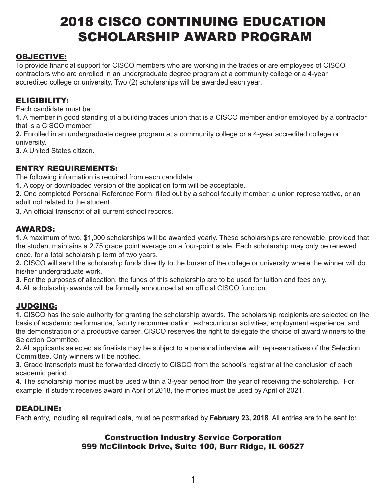# 2018 CISCO CONTINUING EDUCATION SCHOLARSHIP AWARD PROGRAM

## OBJECTIVE:

To provide financial support for CISCO members who are working in the trades or are employees of CISCO contractors who are enrolled in an undergraduate degree program at a community college or a 4-year accredited college or university. Two (2) scholarships will be awarded each year.

## ELIGIBILITY:

Each candidate must be:

**1.** A member in good standing of a building trades union that is a CISCO member and/or employed by a contractor that is a CISCO member.

**2.** Enrolled in an undergraduate degree program at a community college or a 4-year accredited college or university.

**3.** A United States citizen.

## ENTRY REQUIREMENTS:

The following information is required from each candidate:

**1.** A copy or downloaded version of the application form will be acceptable.

**2.** One completed Personal Reference Form, filled out by a school faculty member, a union representative, or an adult not related to the student.

**3.** An official transcript of all current school records.

## AWARDS:

**1.** A maximum of two, \$1,000 scholarships will be awarded yearly. These scholarships are renewable, provided that the student maintains a 2.75 grade point average on a four-point scale. Each scholarship may only be renewed once, for a total scholarship term of two years.

**2.** CISCO will send the scholarship funds directly to the bursar of the college or university where the winner will do his/her undergraduate work.

**3.** For the purposes of allocation, the funds of this scholarship are to be used for tuition and fees only.

**4.** All scholarship awards will be formally announced at an official CISCO function.

## JUDGING:

**1.** CISCO has the sole authority for granting the scholarship awards. The scholarship recipients are selected on the basis of academic performance, faculty recommendation, extracurricular activities, employment experience, and the demonstration of a productive career. CISCO reserves the right to delegate the choice of award winners to the Selection Commitee.

**2.** All applicants selected as finalists may be subject to a personal interview with representatives of the Selection Committee. Only winners will be notified.

**3.** Grade transcripts must be forwarded directly to CISCO from the school's registrar at the conclusion of each academic period.

**4.** The scholarship monies must be used within a 3-year period from the year of receiving the scholarship. For example, if student receives award in April of 2018, the monies must be used by April of 2021.

### DEADLINE:

Each entry, including all required data, must be postmarked by **February 23, 2018**. All entries are to be sent to:

## Construction Industry Service Corporation 999 McClintock Drive, Suite 100, Burr Ridge, IL 60527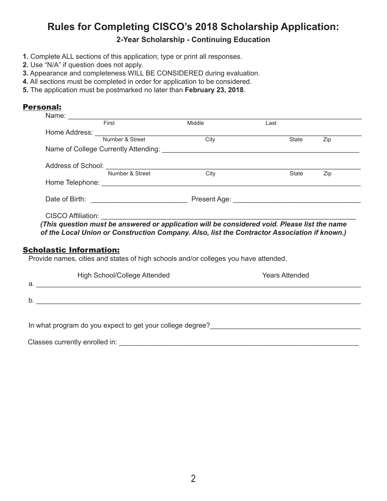## **Rules for Completing CISCO's 2018 Scholarship Application:**

**2-Year Scholarship - Continuing Education**

- **1.** Complete ALL sections of this application; type or print all responses.
- **2.** Use "N/A" if question does not apply.
- **3.** Appearance and completeness WILL BE CONSIDERED during evaluation.
- **4.** All sections must be completed in order for application to be considered.
- **5.** The application must be postmarked no later than **February 23, 2018**.

#### Personal:

| First                                                                                        | Middle | Last |       |     |
|----------------------------------------------------------------------------------------------|--------|------|-------|-----|
|                                                                                              |        |      |       |     |
| Home Address: Number & Street Cit                                                            | City   |      | State | Zip |
| Name of College Currently Attending: Name of College Currently Attending:                    |        |      |       |     |
|                                                                                              |        |      |       |     |
| Number & Street                                                                              | City   |      | State | Zip |
|                                                                                              |        |      |       |     |
|                                                                                              |        |      |       |     |
|                                                                                              |        |      |       |     |
| (This question must be answered or application will be considered void. Please list the name |        |      |       |     |

*of the Local Union or Construction Company. Also, list the Contractor Association if known.)*

#### Scholastic Information:

Provide names, cities and states of high schools and/or colleges you have attended.

| а. | <b>High School/College Attended</b> | <b>Years Attended</b> |
|----|-------------------------------------|-----------------------|
| D. |                                     |                       |
|    |                                     |                       |

In what program do you expect to get your college degree?<br>
In what program do you expect to get your college degree?

Classes currently enrolled in: \_\_\_\_\_\_\_\_\_\_\_\_\_\_\_\_\_\_\_\_\_\_\_\_\_\_\_\_\_\_\_\_\_\_\_\_\_\_\_\_\_\_\_\_\_\_\_\_\_\_\_\_\_\_\_\_\_\_\_\_\_\_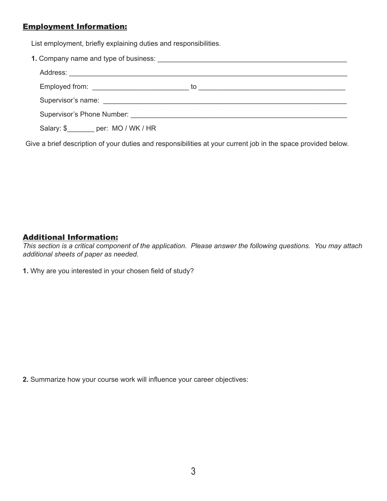## Employment Information:

List employment, briefly explaining duties and responsibilities.

|                                                                         | to<br><u> 1989 - John Stein, Amerikaansk kanton (</u> |
|-------------------------------------------------------------------------|-------------------------------------------------------|
|                                                                         |                                                       |
| Supervisor's Phone Number: Supervisor of the Supervisor's Phone Number: |                                                       |
| Salary: \$ per: MO / WK / HR                                            |                                                       |

Give a brief description of your duties and responsibilities at your current job in the space provided below.

## Additional Information:

*This section is a critical component of the application. Please answer the following questions. You may attach additional sheets of paper as needed.*

**1.** Why are you interested in your chosen field of study?

**2.** Summarize how your course work will influence your career objectives: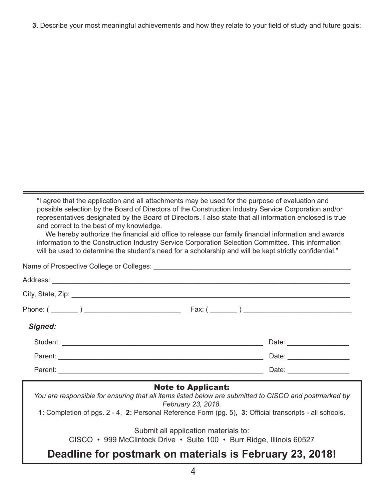**3.** Describe your most meaningful achievements and how they relate to your field of study and future goals:

"I agree that the application and all attachments may be used for the purpose of evaluation and possible selection by the Board of Directors of the Construction Industry Service Corporation and/or representatives designated by the Board of Directors. I also state that all information enclosed is true and correct to the best of my knowledge.

We hereby authorize the financial aid office to release our family financial information and awards information to the Construction Industry Service Corporation Selection Committee. This information will be used to determine the student's need for a scholarship and will be kept strictly confidential."

Name of Prospective College or Colleges: \_\_\_\_\_\_\_\_\_\_\_\_\_\_\_\_\_\_\_\_\_\_\_\_\_\_\_\_\_\_\_\_\_\_\_\_\_\_\_\_\_\_\_\_\_\_\_\_\_\_\_ Address: \_\_\_\_\_\_\_\_\_\_\_\_\_\_\_\_\_\_\_\_\_\_\_\_\_\_\_\_\_\_\_\_\_\_\_\_\_\_\_\_\_\_\_\_\_\_\_\_\_\_\_\_\_\_\_\_\_\_\_\_\_\_\_\_\_\_\_\_\_\_\_\_\_\_\_\_\_ City, State, Zip: \_\_\_\_\_\_\_\_\_\_\_\_\_\_\_\_\_\_\_\_\_\_\_\_\_\_\_\_\_\_\_\_\_\_\_\_\_\_\_\_\_\_\_\_\_\_\_\_\_\_\_\_\_\_\_\_\_\_\_\_\_\_\_\_\_\_\_\_\_\_\_\_ Phone:  $(\_\_)$ *Signed:* Student: \_\_\_\_\_\_\_\_\_\_\_\_\_\_\_\_\_\_\_\_\_\_\_\_\_\_\_\_\_\_\_\_\_\_\_\_\_\_\_\_\_\_\_\_\_\_\_\_\_\_\_\_ Date: \_\_\_\_\_\_\_\_\_\_\_\_\_\_\_\_ Parent: \_\_\_\_\_\_\_\_\_\_\_\_\_\_\_\_\_\_\_\_\_\_\_\_\_\_\_\_\_\_\_\_\_\_\_\_\_\_\_\_\_\_\_\_\_\_\_\_\_\_\_\_\_ Date: \_\_\_\_\_\_\_\_\_\_\_\_\_\_\_\_ Parent: \_\_\_\_\_\_\_\_\_\_\_\_\_\_\_\_\_\_\_\_\_\_\_\_\_\_\_\_\_\_\_\_\_\_\_\_\_\_\_\_\_\_\_\_\_\_\_\_\_\_\_\_\_ Date: \_\_\_\_\_\_\_\_\_\_\_\_\_\_\_\_

#### Note to Applicant:

*You are responsible for ensuring that all items listed below are submitted to CISCO and postmarked by February 23, 2018.*

**1:** Completion of pgs. 2 - 4, **2:** Personal Reference Form (pg. 5), **3:** Official transcripts - all schools.

Submit all application materials to:

CISCO • 999 McClintock Drive • Suite 100 • Burr Ridge, Illinois 60527

## **Deadline for postmark on materials is February 23, 2018!**